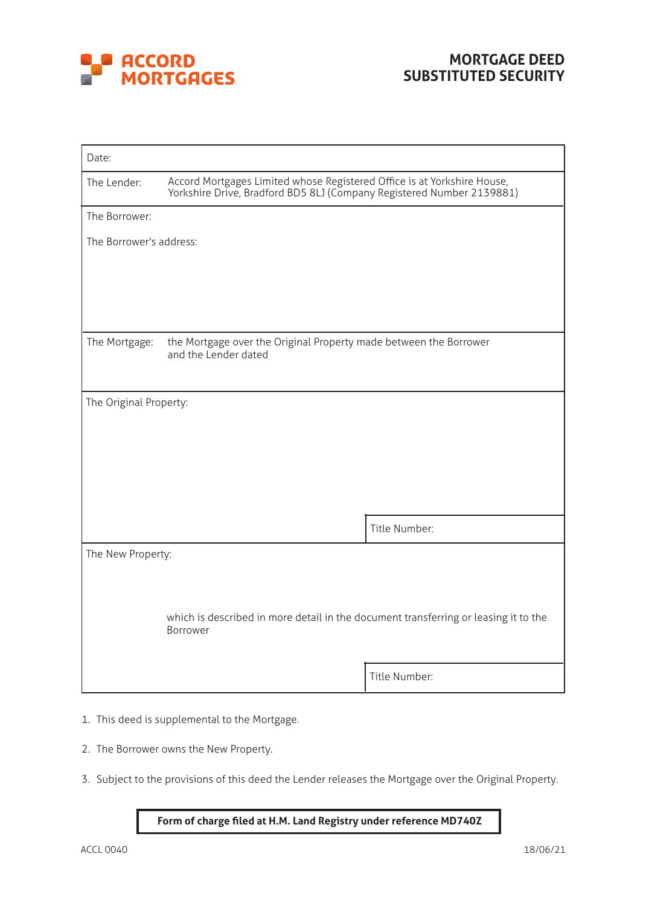

| Date:                   |                                                                                                                                                  |               |  |  |
|-------------------------|--------------------------------------------------------------------------------------------------------------------------------------------------|---------------|--|--|
| The Lender:             | Accord Mortgages Limited whose Registered Office is at Yorkshire House,<br>Yorkshire Drive, Bradford BD5 8LJ (Company Registered Number 2139881) |               |  |  |
| The Borrower:           |                                                                                                                                                  |               |  |  |
| The Borrower's address: |                                                                                                                                                  |               |  |  |
|                         |                                                                                                                                                  |               |  |  |
|                         |                                                                                                                                                  |               |  |  |
|                         |                                                                                                                                                  |               |  |  |
| The Mortgage:           | the Mortgage over the Original Property made between the Borrower<br>and the Lender dated                                                        |               |  |  |
|                         |                                                                                                                                                  |               |  |  |
| The Original Property:  |                                                                                                                                                  |               |  |  |
|                         |                                                                                                                                                  |               |  |  |
|                         |                                                                                                                                                  |               |  |  |
|                         |                                                                                                                                                  |               |  |  |
|                         |                                                                                                                                                  |               |  |  |
|                         |                                                                                                                                                  | Title Number: |  |  |
|                         |                                                                                                                                                  |               |  |  |
| The New Property:       |                                                                                                                                                  |               |  |  |
|                         |                                                                                                                                                  |               |  |  |
|                         | which is described in more detail in the document transferring or leasing it to the                                                              |               |  |  |
|                         | Borrower                                                                                                                                         |               |  |  |
|                         |                                                                                                                                                  | Title Number: |  |  |

- 1. This deed is supplemental to the Mortgage.
- 2. The Borrower owns the New Property.
- 3. Subject to the provisions of this deed the Lender releases the Mortgage over the Original Property.

## **Form of charge filed at H.M. Land Registry under reference MD740Z**